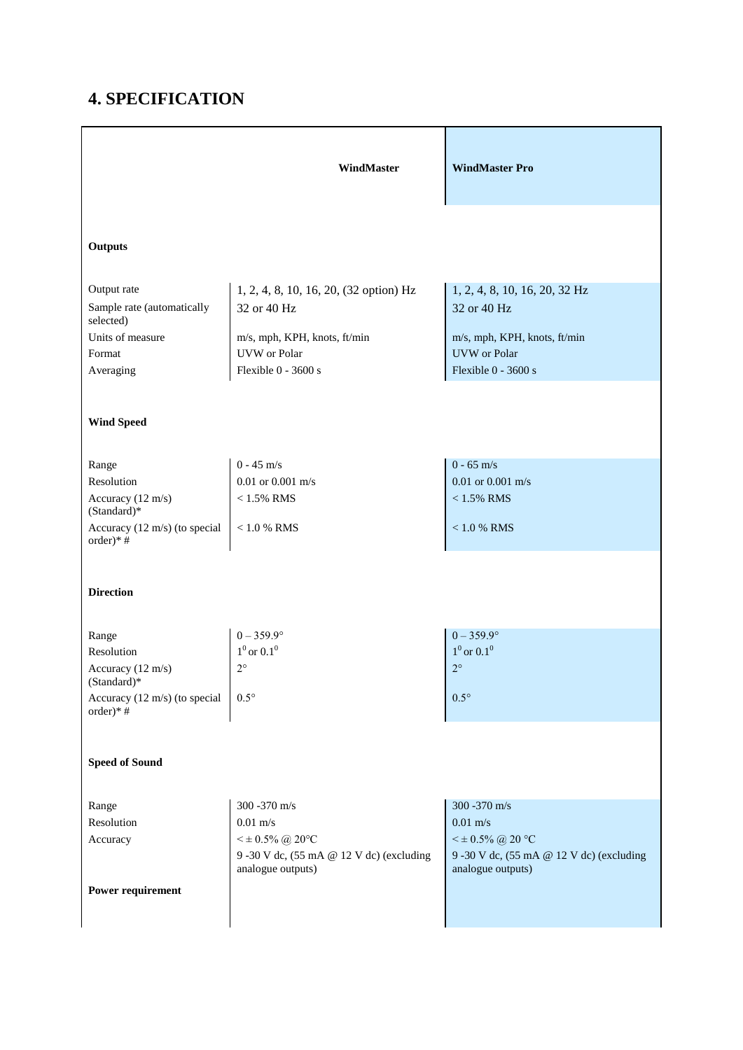## **4. SPECIFICATION**

|                                              | WindMaster                                                                               | <b>WindMaster Pro</b>                                                               |
|----------------------------------------------|------------------------------------------------------------------------------------------|-------------------------------------------------------------------------------------|
| <b>Outputs</b>                               |                                                                                          |                                                                                     |
| Output rate                                  | 1, 2, 4, 8, 10, 16, 20, (32 option) Hz                                                   | 1, 2, 4, 8, 10, 16, 20, 32 Hz                                                       |
| Sample rate (automatically<br>selected)      | 32 or 40 Hz                                                                              | 32 or 40 Hz                                                                         |
| Units of measure                             | m/s, mph, KPH, knots, ft/min                                                             | m/s, mph, KPH, knots, ft/min                                                        |
| Format                                       | <b>UVW</b> or Polar                                                                      | <b>UVW</b> or Polar                                                                 |
| Averaging                                    | Flexible 0 - 3600 s                                                                      | Flexible $0 - 3600$ s                                                               |
| <b>Wind Speed</b>                            |                                                                                          |                                                                                     |
| Range                                        | $0 - 45$ m/s                                                                             | $0 - 65$ m/s                                                                        |
| Resolution                                   | $0.01$ or $0.001$ m/s                                                                    | $0.01$ or $0.001$ m/s                                                               |
| Accuracy (12 m/s)<br>(Standard)*             | $<1.5\%$ RMS                                                                             | $<1.5\%$ RMS                                                                        |
| Accuracy (12 m/s) (to special<br>order)* $#$ | $< 1.0 %$ RMS                                                                            | $<1.0$ % RMS                                                                        |
| <b>Direction</b>                             |                                                                                          |                                                                                     |
| Range                                        | $0 - 359.9^{\circ}$<br>$1^0$ or $0.1^0$                                                  | $0 - 359.9^{\circ}$<br>$1^0$ or $0.1^0$                                             |
| Resolution<br>Accuracy (12 m/s)              | $2^{\circ}$                                                                              | $2^{\circ}$                                                                         |
| (Standard)*                                  |                                                                                          |                                                                                     |
| Accuracy (12 m/s) (to special<br>order)*#    | $0.5^{\circ}$                                                                            | $0.5^{\circ}$                                                                       |
| <b>Speed of Sound</b>                        |                                                                                          |                                                                                     |
| Range                                        | 300 - 370 m/s                                                                            | 300 - 370 m/s                                                                       |
| Resolution                                   | $0.01$ m/s                                                                               | $0.01$ m/s                                                                          |
| Accuracy                                     | $<$ $\pm$ 0.5% $@$ 20°C<br>9 -30 V dc, (55 mA @ 12 V dc) (excluding<br>analogue outputs) | $<$ ± 0.5% @ 20 °C<br>9 -30 V dc, (55 mA @ 12 V dc) (excluding<br>analogue outputs) |
| Power requirement                            |                                                                                          |                                                                                     |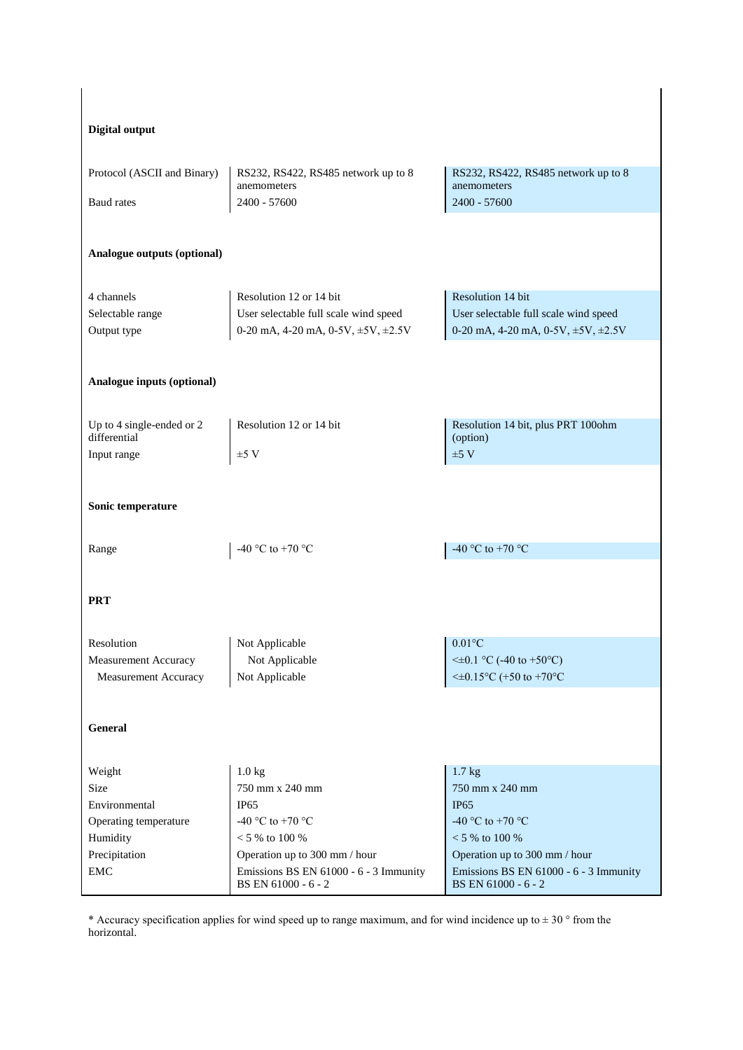| <b>Digital output</b>                                                                                                    |                                                                                                |                                                                                                |  |
|--------------------------------------------------------------------------------------------------------------------------|------------------------------------------------------------------------------------------------|------------------------------------------------------------------------------------------------|--|
| Protocol (ASCII and Binary)                                                                                              | RS232, RS422, RS485 network up to 8                                                            | RS232, RS422, RS485 network up to 8                                                            |  |
|                                                                                                                          | anemometers                                                                                    | anemometers                                                                                    |  |
| <b>Baud</b> rates                                                                                                        | 2400 - 57600                                                                                   | 2400 - 57600                                                                                   |  |
| Analogue outputs (optional)                                                                                              |                                                                                                |                                                                                                |  |
| 4 channels                                                                                                               | Resolution 12 or 14 bit                                                                        | Resolution 14 bit                                                                              |  |
| Selectable range                                                                                                         | User selectable full scale wind speed                                                          | User selectable full scale wind speed                                                          |  |
| Output type                                                                                                              | 0-20 mA, 4-20 mA, 0-5V, $\pm$ 5V, $\pm$ 2.5V                                                   | 0-20 mA, 4-20 mA, 0-5V, $\pm$ 5V, $\pm$ 2.5V                                                   |  |
| Analogue inputs (optional)<br>Up to 4 single-ended or 2<br>Resolution 12 or 14 bit<br>Resolution 14 bit, plus PRT 100ohm |                                                                                                |                                                                                                |  |
| differential                                                                                                             |                                                                                                | (option)                                                                                       |  |
| Input range                                                                                                              | $±5$ V                                                                                         | ±5 V                                                                                           |  |
| Sonic temperature<br>-40 °C to +70 °C                                                                                    |                                                                                                |                                                                                                |  |
| Range                                                                                                                    | -40 °C to +70 °C                                                                               |                                                                                                |  |
| <b>PRT</b>                                                                                                               |                                                                                                |                                                                                                |  |
| Resolution                                                                                                               | Not Applicable<br>Not Applicable                                                               | $0.01^{\circ}$ C<br>$\leq \pm 0.1$ °C (-40 to +50°C)                                           |  |
| Measurement Accuracy<br>Measurement Accuracy                                                                             | Not Applicable                                                                                 | $\leq\pm0.15^{\circ}$ C (+50 to +70°C                                                          |  |
| General                                                                                                                  |                                                                                                |                                                                                                |  |
| Weight                                                                                                                   | 1.0 <sub>kg</sub>                                                                              | 1.7 <sub>kg</sub>                                                                              |  |
| Size                                                                                                                     | 750 mm x 240 mm                                                                                | 750 mm x 240 mm                                                                                |  |
| Environmental                                                                                                            | IP <sub>65</sub>                                                                               | <b>IP65</b>                                                                                    |  |
| Operating temperature                                                                                                    | -40 °C to +70 °C                                                                               | -40 °C to +70 °C                                                                               |  |
| Humidity                                                                                                                 | $< 5$ % to 100 %                                                                               | $< 5$ % to 100 %                                                                               |  |
| Precipitation<br>${\rm EMC}$                                                                                             | Operation up to 300 mm / hour<br>Emissions BS EN 61000 - 6 - 3 Immunity<br>BS EN 61000 - 6 - 2 | Operation up to 300 mm / hour<br>Emissions BS EN 61000 - 6 - 3 Immunity<br>BS EN 61000 - 6 - 2 |  |

\* Accuracy specification applies for wind speed up to range maximum, and for wind incidence up to  $\pm$  30  $\degree$  from the horizontal.